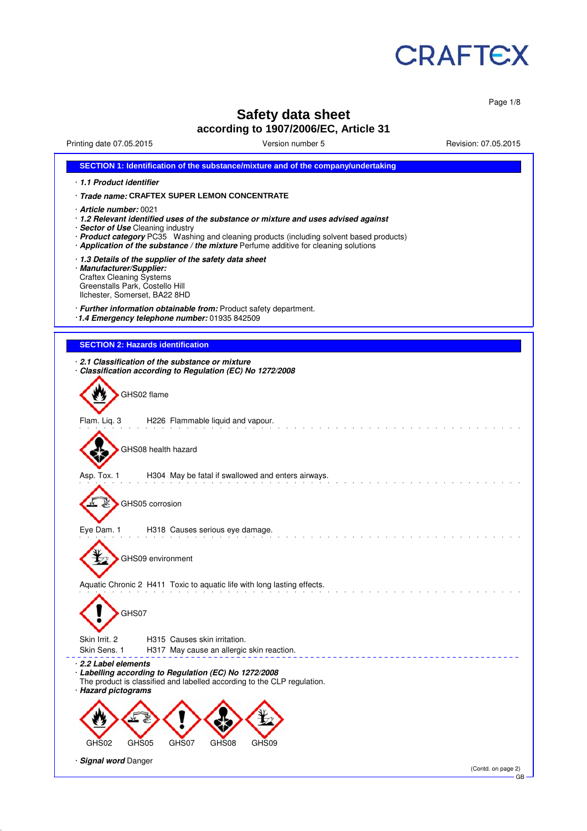

Page 1/8

# **Safety data sheet**

# **according to 1907/2006/EC, Article 31**

Printing date 07.05.2015 Version number 5 Revision: 07.05.2015

| SECTION 1: Identification of the substance/mixture and of the company/undertaking                                                                                                                                                                                                                                                    |
|--------------------------------------------------------------------------------------------------------------------------------------------------------------------------------------------------------------------------------------------------------------------------------------------------------------------------------------|
| 1.1 Product identifier                                                                                                                                                                                                                                                                                                               |
| · Trade name: CRAFTEX SUPER LEMON CONCENTRATE                                                                                                                                                                                                                                                                                        |
| Article number: 0021<br>· 1.2 Relevant identified uses of the substance or mixture and uses advised against<br>· Sector of Use Cleaning industry<br>· Product category PC35 Washing and cleaning products (including solvent based products)<br>· Application of the substance / the mixture Perfume additive for cleaning solutions |
| 1.3 Details of the supplier of the safety data sheet<br>· Manufacturer/Supplier:<br><b>Craftex Cleaning Systems</b><br>Greenstalls Park, Costello Hill<br>Ilchester, Somerset, BA22 8HD                                                                                                                                              |
| · Further information obtainable from: Product safety department.<br>1.4 Emergency telephone number: 01935 842509                                                                                                                                                                                                                    |
| <b>SECTION 2: Hazards identification</b>                                                                                                                                                                                                                                                                                             |
| 2.1 Classification of the substance or mixture<br>Classification according to Regulation (EC) No 1272/2008<br>GHS02 flame                                                                                                                                                                                                            |
| Flam. Liq. 3<br>H226 Flammable liquid and vapour.                                                                                                                                                                                                                                                                                    |
| GHS08 health hazard                                                                                                                                                                                                                                                                                                                  |
| Asp. Tox. 1<br>H304 May be fatal if swallowed and enters airways.                                                                                                                                                                                                                                                                    |
| GHS05 corrosion                                                                                                                                                                                                                                                                                                                      |
| Eye Dam. 1<br>H318 Causes serious eye damage.                                                                                                                                                                                                                                                                                        |
| GHS09 environment                                                                                                                                                                                                                                                                                                                    |
| Aquatic Chronic 2 H411 Toxic to aquatic life with long lasting effects.<br>GHS07                                                                                                                                                                                                                                                     |
| Skin Irrit. 2<br>H315 Causes skin irritation.<br>Skin Sens. 1<br>H317 May cause an allergic skin reaction.                                                                                                                                                                                                                           |
| ⋅2.2 Label elements<br>· Labelling according to Regulation (EC) No 1272/2008<br>The product is classified and labelled according to the CLP regulation.<br>· Hazard pictograms                                                                                                                                                       |
| GHS07<br>GHS02<br>GHS05<br>GHS08<br>GHS09                                                                                                                                                                                                                                                                                            |
| · Signal word Danger<br>(Contd. on page 2)                                                                                                                                                                                                                                                                                           |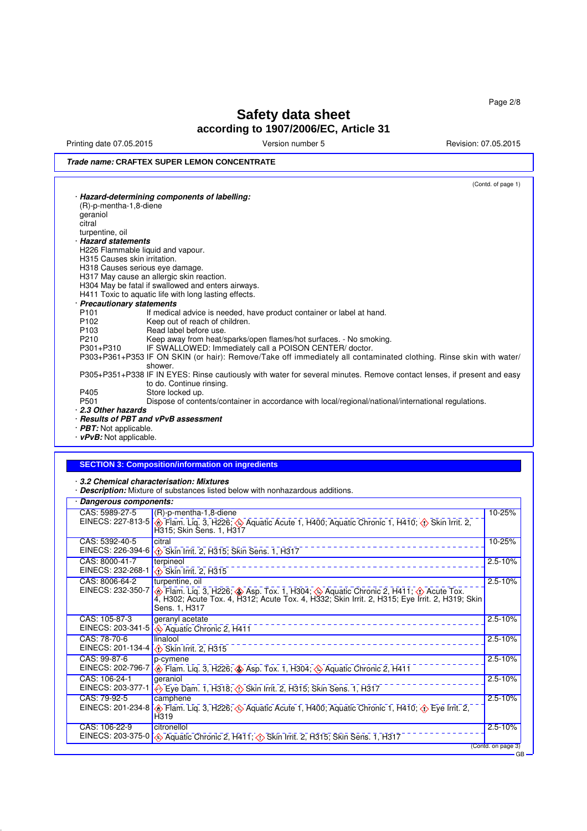Printing date 07.05.2015 **Principal and COVID-100** Version number 5 Revision: 07.05.2015

### **Trade name: CRAFTEX SUPER LEMON CONCENTRATE**

(Contd. of page 1) · **Hazard-determining components of labelling:** (R)-p-mentha-1,8-diene geraniol citral turpentine, oil · **Hazard statements** H226 Flammable liquid and vapour. H315 Causes skin irritation. H318 Causes serious eye damage. H317 May cause an allergic skin reaction. H304 May be fatal if swallowed and enters airways. H411 Toxic to aquatic life with long lasting effects. · **Precautionary statements** P101 If medical advice is needed, have product container or label at hand.<br>P102 Keep out of reach of children. P102 Keep out of reach of children.<br>P103 Read label before use. P103 Read label before use.<br>P210 Keep away from heat/s P210 Keep away from heat/sparks/open flames/hot surfaces. - No smoking.<br>P301+P310 IF SWALLOWED: Immediately call a POISON CENTER/ doctor. IF SWALLOWED: Immediately call a POISON CENTER/ doctor. P303+P361+P353 IF ON SKIN (or hair): Remove/Take off immediately all contaminated clothing. Rinse skin with water/ shower. P305+P351+P338 IF IN EYES: Rinse cautiously with water for several minutes. Remove contact lenses, if present and easy to do. Continue rinsing. P405 Store locked up.<br>P501 Dispose of conte Dispose of contents/container in accordance with local/regional/national/international regulations. · **2.3 Other hazards** · **Results of PBT and vPvB assessment**

· **PBT:** Not applicable.

· **vPvB:** Not applicable.

#### **SECTION 3: Composition/information on ingredients**

· **3.2 Chemical characterisation: Mixtures**

· **Description:** Mixture of substances listed below with nonhazardous additions.

| Dangerous components:               |                                                                                                                                                                                                                           |                             |
|-------------------------------------|---------------------------------------------------------------------------------------------------------------------------------------------------------------------------------------------------------------------------|-----------------------------|
| CAS: 5989-27-5<br>EINECS: 227-813-5 | (R)-p-mentha-1,8-diene<br>Flam. Liq. 3, H226; Aquatic Acute 1, H400; Aquatic Chronic 1, H410; O Skin Irrit. 2,<br>H315; Skin Sens. 1, H317                                                                                | 10-25%                      |
| CAS: 5392-40-5<br>EINECS: 226-394-6 | citral<br>Skin Irrit. 2, H315; Skin Sens. 1, H317                                                                                                                                                                         | 10-25%                      |
| CAS: 8000-41-7<br>EINECS: 232-268-1 | terpineol<br>Skin Irrit. 2, H315                                                                                                                                                                                          | $2.5 - 10%$                 |
| CAS: 8006-64-2<br>EINECS: 232-350-7 | turpentine, oil<br>Tam. Liq. 3, H226; ◆ Asp. Tox. 1, H304; ◆ Aquatic Chronic 2, H411; ◆ Acute Tox. - - - - 4, H302; Acute Tox. 4, H312; Acute Tox. 4, H332; Skin Irit. 2, H315; Eye Irrit. 2, H319; Skin<br>Sens. 1, H317 | $2.5 - 10%$                 |
| CAS: 105-87-3<br>EINECS: 203-341-5  | geranyl acetate<br>Aquatic Chronic 2, H411                                                                                                                                                                                | $2.5 - 10%$                 |
| CAS: 78-70-6<br>EINECS: 201-134-4   | linalool<br>Skin Irrit. 2, H315                                                                                                                                                                                           | $2.5 - 10%$                 |
| CAS: 99-87-6<br>EINECS: 202-796-7   | p-cymene<br>Flam. Liq. 3, H226; Asp. Tox. 1, H304; A Aquatic Chronic 2, H411                                                                                                                                              | $2.5 - 10%$                 |
| CAS: 106-24-1<br>EINECS: 203-377-1  | geraniol<br>Eve Dam. 1, H318; (i) Skin Irrit. 2, H315; Skin Sens. 1, H317                                                                                                                                                 | $2.5 - 10%$                 |
| CAS: 79-92-5<br>EINECS: 201-234-8   | camphene<br>Eye Irrit. 2, Fig. 3, H226; $\bigcirc$ Aquatic Acute 1, H400; Aquatic Chronic 1, H410; $\bigcirc$ Eye Irrit. 2,<br>H319                                                                                       | $2.5 - 10%$                 |
| CAS: 106-22-9                       | citronellol<br>EINECS: 203-375-0 $\otimes$ Aquatic Chronic 2, H411; $\otimes$ Skin Irrit. 2, H315; Skin Sens. 1, H317                                                                                                     | $2.5 - 10%$                 |
|                                     |                                                                                                                                                                                                                           | (Contd. on page 3)<br>$-GB$ |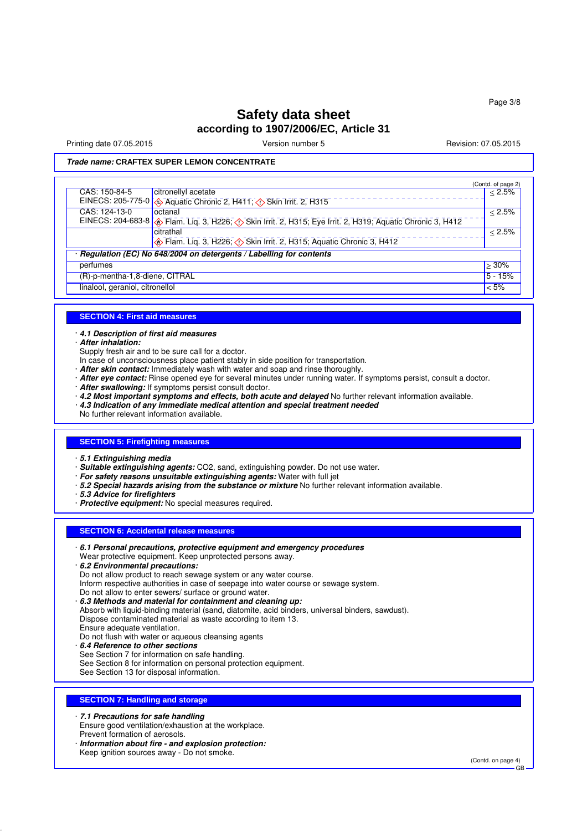Printing date 07.05.2015 **Principal and COVID-100** Version number 5 Revision: 07.05.2015

**Trade name: CRAFTEX SUPER LEMON CONCENTRATE**

|                                 |                                                                                                                            | (Contd. of page 2) |
|---------------------------------|----------------------------------------------------------------------------------------------------------------------------|--------------------|
| CAS: 150-84-5                   | citronellyl acetate                                                                                                        | $\leq 2.5\%$       |
|                                 | EINECS: 205-775-0 4 Aquatic Chronic 2, H411; 1> Skin Irrit. 2, H315                                                        |                    |
| CAS: 124-13-0                   | octanal                                                                                                                    | < 2.5%             |
|                                 | EINECS: 204-683-8 <b>6</b> Flam. Liq. 3, H226, <b>(1)</b> Skin Irrit. 2, H315; Eye Irrit. 2, H319; Aquatic Chronic 3, H412 |                    |
|                                 | citrathal                                                                                                                  | $< 2.5\%$          |
|                                 | Flam. Liq. 3, H226; 1> Skin Irrit. 2, H315; Aquatic Chronic 3, H412                                                        |                    |
|                                 | Regulation (EC) No 648/2004 on detergents / Labelling for contents                                                         |                    |
| perfumes                        |                                                                                                                            | $>30\%$            |
| (R)-p-mentha-1,8-diene, CITRAL  |                                                                                                                            | $5 - 15%$          |
| linalool, geraniol, citronellol |                                                                                                                            | $\approx 5\%$      |

### **SECTION 4: First aid measures**

· **4.1 Description of first aid measures**

· **After inhalation:**

Supply fresh air and to be sure call for a doctor.

- In case of unconsciousness place patient stably in side position for transportation.
- · **After skin contact:** Immediately wash with water and soap and rinse thoroughly.
- · **After eye contact:** Rinse opened eye for several minutes under running water. If symptoms persist, consult a doctor.
- · **After swallowing:** If symptoms persist consult doctor.
- · **4.2 Most important symptoms and effects, both acute and delayed** No further relevant information available.
- · **4.3 Indication of any immediate medical attention and special treatment needed**

No further relevant information available.

### **SECTION 5: Firefighting measures**

· **5.1 Extinguishing media**

· **Suitable extinguishing agents:** CO2, sand, extinguishing powder. Do not use water.

- · **For safety reasons unsuitable extinguishing agents:** Water with full jet
- · **5.2 Special hazards arising from the substance or mixture** No further relevant information available.
- · **5.3 Advice for firefighters**
- · **Protective equipment:** No special measures required.

### **SECTION 6: Accidental release measures**

- · **6.1 Personal precautions, protective equipment and emergency procedures** Wear protective equipment. Keep unprotected persons away. · **6.2 Environmental precautions:** Do not allow product to reach sewage system or any water course. Inform respective authorities in case of seepage into water course or sewage system. Do not allow to enter sewers/ surface or ground water. · **6.3 Methods and material for containment and cleaning up:** Absorb with liquid-binding material (sand, diatomite, acid binders, universal binders, sawdust). Dispose contaminated material as waste according to item 13. Ensure adequate ventilation. Do not flush with water or aqueous cleansing agents
	- · **6.4 Reference to other sections**
	- See Section 7 for information on safe handling. See Section 8 for information on personal protection equipment.
	- See Section 13 for disposal information.

### **SECTION 7: Handling and storage**

· **7.1 Precautions for safe handling** Ensure good ventilation/exhaustion at the workplace. Prevent formation of aerosols.

· **Information about fire - and explosion protection:** Keep ignition sources away - Do not smoke.

(Contd. on page 4)

GB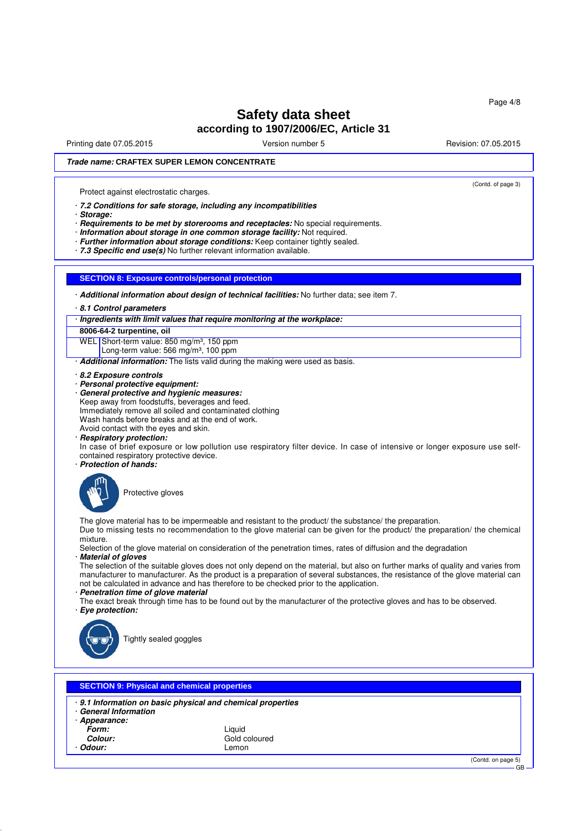Printing date 07.05.2015 **Principal and COVID-100** Version number 5 Revision: 07.05.2015

(Contd. of page 3)

### **Trade name: CRAFTEX SUPER LEMON CONCENTRATE**

Protect against electrostatic charges.

· **7.2 Conditions for safe storage, including any incompatibilities**

· **Storage:**

· **Requirements to be met by storerooms and receptacles:** No special requirements.

- · **Information about storage in one common storage facility:** Not required.
- · **Further information about storage conditions:** Keep container tightly sealed.

· **7.3 Specific end use(s)** No further relevant information available.

### **SECTION 8: Exposure controls/personal protection**

· **Additional information about design of technical facilities:** No further data; see item 7.

· **8.1 Control parameters**

· **Ingredients with limit values that require monitoring at the workplace:**

**8006-64-2 turpentine, oil** WEL Short-term value: 850 mg/m<sup>3</sup>, 150 ppm

Long-term value: 566 mg/m<sup>3</sup>, 100 ppm

· **Additional information:** The lists valid during the making were used as basis.

- · **8.2 Exposure controls**
- · **Personal protective equipment:**
- · **General protective and hygienic measures:**
- Keep away from foodstuffs, beverages and feed.

Immediately remove all soiled and contaminated clothing

Wash hands before breaks and at the end of work.

Avoid contact with the eyes and skin.

· **Respiratory protection:**

In case of brief exposure or low pollution use respiratory filter device. In case of intensive or longer exposure use selfcontained respiratory protective device.

· **Protection of hands:**



Protective gloves

The glove material has to be impermeable and resistant to the product/ the substance/ the preparation. Due to missing tests no recommendation to the glove material can be given for the product/ the preparation/ the chemical

mixture.

Selection of the glove material on consideration of the penetration times, rates of diffusion and the degradation · **Material of gloves**

The selection of the suitable gloves does not only depend on the material, but also on further marks of quality and varies from manufacturer to manufacturer. As the product is a preparation of several substances, the resistance of the glove material can not be calculated in advance and has therefore to be checked prior to the application.

- · **Penetration time of glove material**
- The exact break through time has to be found out by the manufacturer of the protective gloves and has to be observed. · **Eye protection:**



Tightly sealed goggles

### **SECTION 9: Physical and chemical properties**

· **9.1 Information on basic physical and chemical properties**

- · **General Information**
- · **Appearance:**
	- **Form:** Liquid
	- Odour:

Gold coloured<br>Lemon

(Contd. on page 5)

GB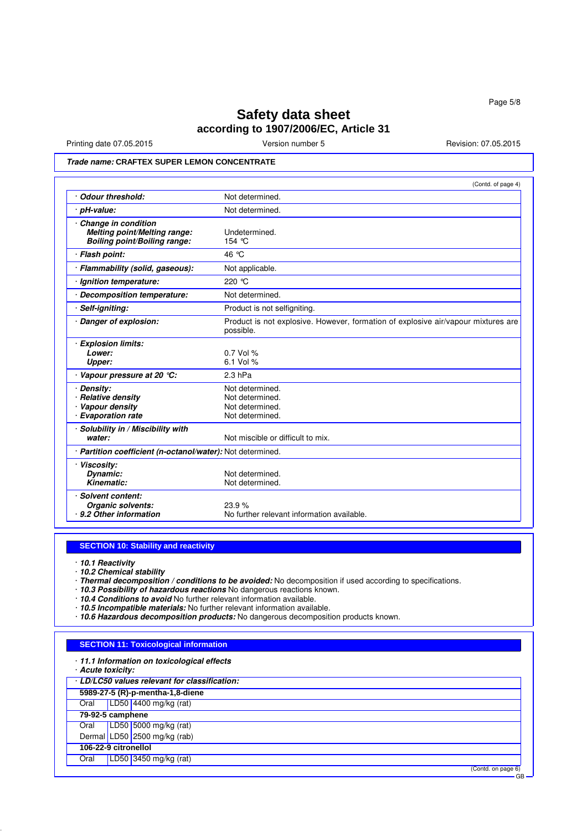GB

# **Safety data sheet according to 1907/2006/EC, Article 31**

Printing date 07.05.2015 **Version number 5** Revision: 07.05.2015 **Revision: 07.05.2015** 

### **Trade name: CRAFTEX SUPER LEMON CONCENTRATE**

|                                                                                            | (Contd. of page 4)                                                                             |  |
|--------------------------------------------------------------------------------------------|------------------------------------------------------------------------------------------------|--|
| · Odour threshold:                                                                         | Not determined.                                                                                |  |
| · pH-value:                                                                                | Not determined.                                                                                |  |
| Change in condition<br>Melting point/Melting range:<br><b>Boiling point/Boiling range:</b> | Undetermined.<br>154 °C                                                                        |  |
| · Flash point:                                                                             | 46 °C                                                                                          |  |
| · Flammability (solid, gaseous):                                                           | Not applicable.                                                                                |  |
| Ignition temperature:                                                                      | 220 °C                                                                                         |  |
| Decomposition temperature:                                                                 | Not determined.                                                                                |  |
| · Self-igniting:                                                                           | Product is not selfigniting.                                                                   |  |
| · Danger of explosion:                                                                     | Product is not explosive. However, formation of explosive air/vapour mixtures are<br>possible. |  |
| · Explosion limits:<br>Lower:<br>Upper:                                                    | $0.7$ Vol %<br>6.1 Vol %                                                                       |  |
| Vapour pressure at 20 °C:                                                                  | $2.3$ hPa                                                                                      |  |
| · Density:<br>· Relative density<br>· Vapour density<br>· Evaporation rate                 | Not determined.<br>Not determined.<br>Not determined.<br>Not determined.                       |  |
| · Solubility in / Miscibility with<br>water:                                               | Not miscible or difficult to mix.                                                              |  |
| · Partition coefficient (n-octanol/water): Not determined.                                 |                                                                                                |  |
| · Viscosity:<br>Dynamic:<br>Kinematic:                                                     | Not determined.<br>Not determined.                                                             |  |
| · Solvent content:<br>Organic solvents:<br>· 9.2 Other information                         | 23.9%<br>No further relevant information available.                                            |  |

### **SECTION 10: Stability and reactivity**

· **10.1 Reactivity**

- · **10.2 Chemical stability**
- · **Thermal decomposition / conditions to be avoided:** No decomposition if used according to specifications.
- · **10.3 Possibility of hazardous reactions** No dangerous reactions known.
- · **10.4 Conditions to avoid** No further relevant information available.
- · **10.5 Incompatible materials:** No further relevant information available.
- · **10.6 Hazardous decomposition products:** No dangerous decomposition products known.

### **SECTION 11: Toxicological information**

|      | · 11.1 Information on toxicological effects<br>· Acute toxicity: |                      |
|------|------------------------------------------------------------------|----------------------|
|      | LD/LC50 values relevant for classification:                      |                      |
|      | 5989-27-5 (R)-p-mentha-1,8-diene                                 |                      |
| Oral | LD50 4400 mg/kg (rat)                                            |                      |
|      | $79-92-5$ camphene                                               |                      |
| Oral | LD50 5000 mg/kg (rat)                                            |                      |
|      | Dermal LD50 2500 mg/kg (rab)                                     |                      |
|      | 106-22-9 citronellol                                             |                      |
| Oral | LD50 3450 mg/kg (rat)                                            |                      |
|      |                                                                  | $(Contd)$ on page 6) |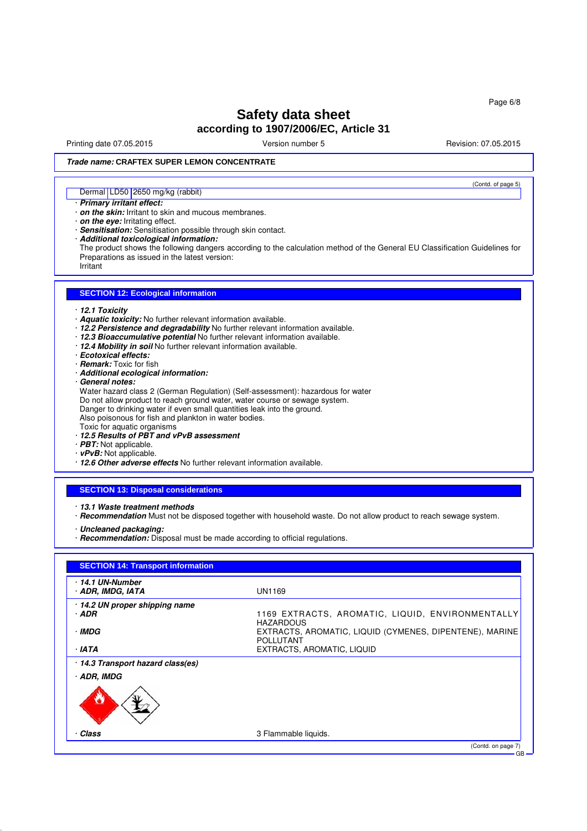Printing date 07.05.2015 **Principal and COVID-100** Version number 5 Revision: 07.05.2015

(Contd. of page 5)

### **Trade name: CRAFTEX SUPER LEMON CONCENTRATE**

### Dermal LD50 2650 mg/kg (rabbit)

#### · **Primary irritant effect:**

- · **on the skin:** Irritant to skin and mucous membranes.
- · **on the eye:** Irritating effect.
- · **Sensitisation:** Sensitisation possible through skin contact.
- · **Additional toxicological information:**
- The product shows the following dangers according to the calculation method of the General EU Classification Guidelines for Preparations as issued in the latest version: Irritant

#### **SECTION 12: Ecological information**

- · **12.1 Toxicity**
- · **Aquatic toxicity:** No further relevant information available.
- · **12.2 Persistence and degradability** No further relevant information available.
- · **12.3 Bioaccumulative potential** No further relevant information available.
- · **12.4 Mobility in soil** No further relevant information available.
- · **Ecotoxical effects:**
- · **Remark:** Toxic for fish
- · **Additional ecological information:**
- · **General notes:**

Water hazard class 2 (German Regulation) (Self-assessment): hazardous for water Do not allow product to reach ground water, water course or sewage system. Danger to drinking water if even small quantities leak into the ground. Also poisonous for fish and plankton in water bodies. Toxic for aquatic organisms

- · **12.5 Results of PBT and vPvB assessment**
- · **PBT:** Not applicable.
- · **vPvB:** Not applicable.
- · **12.6 Other adverse effects** No further relevant information available.

### **SECTION 13: Disposal considerations**

- · **13.1 Waste treatment methods**
- · **Recommendation** Must not be disposed together with household waste. Do not allow product to reach sewage system.

· **Uncleaned packaging:**

· **Recommendation:** Disposal must be made according to official regulations.

| 14.1 UN-Number                    |                                                                             |
|-----------------------------------|-----------------------------------------------------------------------------|
| · ADR, IMDG, IATA                 | <b>UN1169</b>                                                               |
| 14.2 UN proper shipping name      |                                                                             |
| · ADR                             | 1169 EXTRACTS, AROMATIC, LIQUID, ENVIRONMENTALLY<br><b>HAZARDOUS</b>        |
| · IMDG                            | EXTRACTS, AROMATIC, LIQUID (CYMENES, DIPENTENE), MARINE<br><b>POLLUTANT</b> |
| · IATA                            | EXTRACTS, AROMATIC, LIQUID                                                  |
| · 14.3 Transport hazard class(es) |                                                                             |
| · ADR, IMDG                       |                                                                             |
| U                                 |                                                                             |
| Class                             | 3 Flammable liquids.                                                        |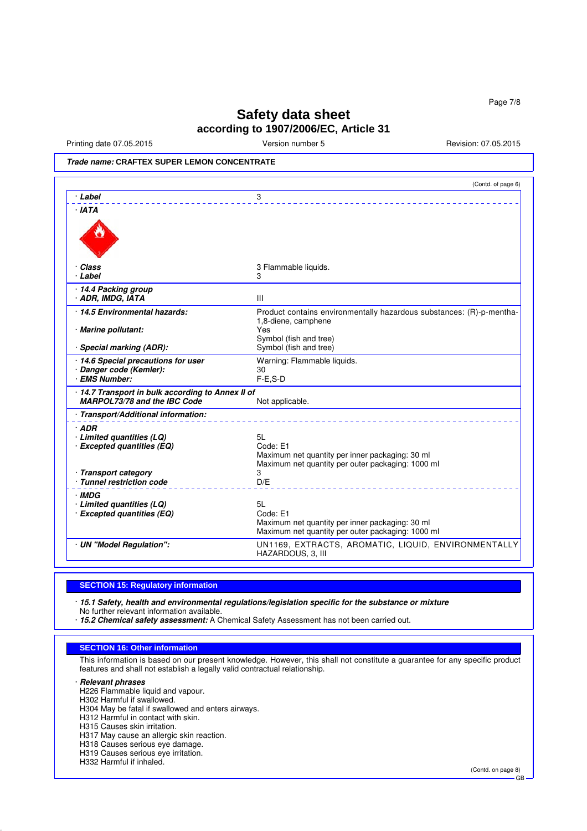Printing date 07.05.2015 **Version number 5** Nevision: 07.05.2015 **Revision: 07.05.2015** 

**Trade name: CRAFTEX SUPER LEMON CONCENTRATE**

|                                                                                   | (Contd. of page 6)                                                                                                                                     |
|-----------------------------------------------------------------------------------|--------------------------------------------------------------------------------------------------------------------------------------------------------|
| · Label                                                                           | 3                                                                                                                                                      |
| · IATA                                                                            |                                                                                                                                                        |
| · Class<br>· Label                                                                | 3 Flammable liquids.<br>3                                                                                                                              |
| 14.4 Packing group<br>· ADR, IMDG, IATA                                           | Ш                                                                                                                                                      |
| 14.5 Environmental hazards:<br>· Marine pollutant:<br>Special marking (ADR):      | Product contains environmentally hazardous substances: (R)-p-mentha-<br>1,8-diene, camphene<br>Yes<br>Symbol (fish and tree)<br>Symbol (fish and tree) |
| · 14.6 Special precautions for user<br>· Danger code (Kemler):<br>· EMS Number:   | Warning: Flammable liquids.<br>30<br>$F-E.S-D$                                                                                                         |
| · 14.7 Transport in bulk according to Annex II of<br>MARPOL73/78 and the IBC Code | Not applicable.                                                                                                                                        |
| · Transport/Additional information:                                               |                                                                                                                                                        |
| $·$ ADR<br>· Limited quantities (LQ)<br>· Excepted quantities (EQ)                | 5L<br>Code: E1<br>Maximum net quantity per inner packaging: 30 ml<br>Maximum net quantity per outer packaging: 1000 ml                                 |
| · Transport category<br>· Tunnel restriction code                                 | 3<br>D/E                                                                                                                                               |
| · IMDG<br>· Limited quantities (LQ)<br>· Excepted quantities (EQ)                 | 5L<br>Code: E1<br>Maximum net quantity per inner packaging: 30 ml<br>Maximum net quantity per outer packaging: 1000 ml                                 |
| · UN "Model Regulation":                                                          | UN1169, EXTRACTS, AROMATIC, LIQUID, ENVIRONMENTALLY<br>HAZARDOUS, 3, III                                                                               |

### **SECTION 15: Regulatory information**

· **15.1 Safety, health and environmental regulations/legislation specific for the substance or mixture**

No further relevant information available.

· **15.2 Chemical safety assessment:** A Chemical Safety Assessment has not been carried out.

### **SECTION 16: Other information**

This information is based on our present knowledge. However, this shall not constitute a guarantee for any specific product features and shall not establish a legally valid contractual relationship.

· **Relevant phrases**

H226 Flammable liquid and vapour.

- H302 Harmful if swallowed.
- H304 May be fatal if swallowed and enters airways.

H312 Harmful in contact with skin.

H315 Causes skin irritation.

- H317 May cause an allergic skin reaction.
- H318 Causes serious eye damage.

H319 Causes serious eye irritation.

H332 Harmful if inhaled.